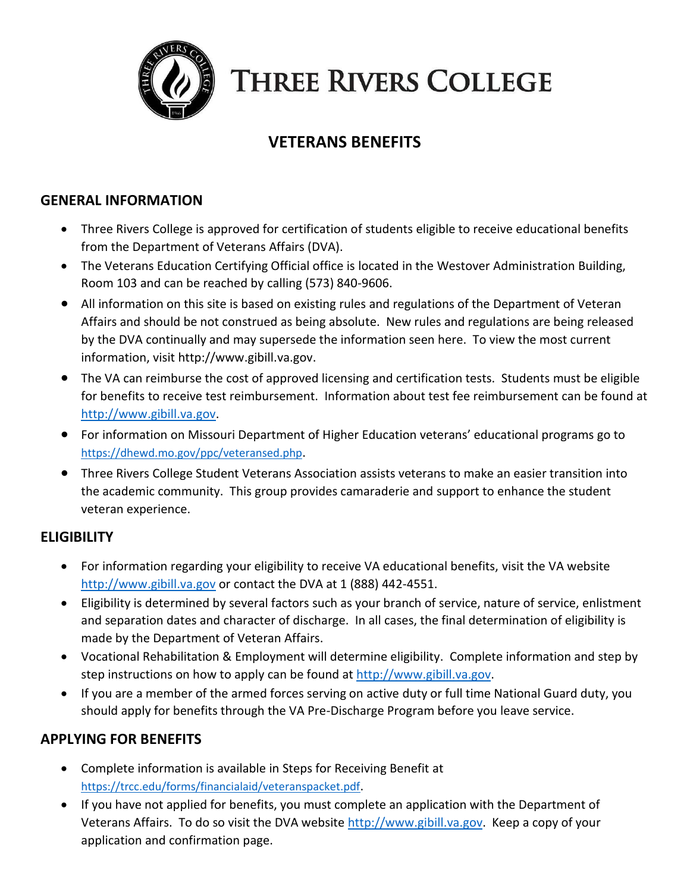

# **THREE RIVERS COLLEGE**

# **VETERANS BENEFITS**

#### **GENERAL INFORMATION**

- Three Rivers College is approved for certification of students eligible to receive educational benefits from the Department of Veterans Affairs (DVA).
- The Veterans Education Certifying Official office is located in the Westover Administration Building, Room 103 and can be reached by calling (573) 840-9606.
- All information on this site is based on existing rules and regulations of the Department of Veteran Affairs and should be not construed as being absolute. New rules and regulations are being released by the DVA continually and may supersede the information seen here. To view the most current information, visit http://www.gibill.va.gov.
- The VA can reimburse the cost of approved licensing and certification tests. Students must be eligible for benefits to receive test reimbursement. Information about test fee reimbursement can be found at http://www.gibill.va.gov.
- For information on Missouri Department of Higher Education veterans' educational programs go to <https://dhewd.mo.gov/ppc/veteransed.php>.
- Three Rivers College Student Veterans Association assists veterans to make an easier transition into the academic community. This group provides camaraderie and support to enhance the student veteran experience.

#### **ELIGIBILITY**

- For information regarding your eligibility to receive VA educational benefits, visit the VA website http://www.gibill.va.gov or contact the DVA at 1 (888) 442-4551.
- Eligibility is determined by several factors such as your branch of service, nature of service, enlistment and separation dates and character of discharge. In all cases, the final determination of eligibility is made by the Department of Veteran Affairs.
- Vocational Rehabilitation & Employment will determine eligibility. Complete information and step by step instructions on how to apply can be found at [http://www.gibill.va.gov.](http://www.gibill.va.gov/)
- If you are a member of the armed forces serving on active duty or full time National Guard duty, you should apply for benefits through the VA Pre-Discharge Program before you leave service.

# **APPLYING FOR BENEFITS**

- Complete information is available in Steps for Receiving Benefit at <https://trcc.edu/forms/financialaid/veteranspacket.pdf>.
- If you have not applied for benefits, you must complete an application with the Department of Veterans Affairs. To do so visit the DVA website http://www.gibill.va.gov. Keep a copy of your application and confirmation page.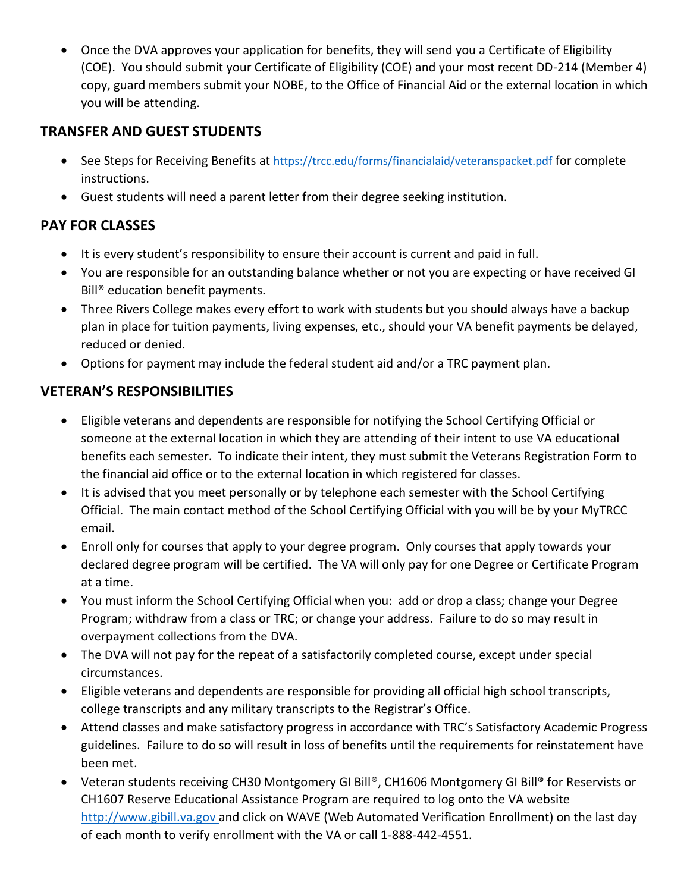• Once the DVA approves your application for benefits, they will send you a Certificate of Eligibility (COE). You should submit your Certificate of Eligibility (COE) and your most recent DD-214 (Member 4) copy, guard members submit your NOBE, to the Office of Financial Aid or the external location in which you will be attending.

## **TRANSFER AND GUEST STUDENTS**

- See Steps for Receiving Benefits at <https://trcc.edu/forms/financialaid/veteranspacket.pdf> for complete instructions.
- Guest students will need a parent letter from their degree seeking institution.

### **PAY FOR CLASSES**

- It is every student's responsibility to ensure their account is current and paid in full.
- You are responsible for an outstanding balance whether or not you are expecting or have received GI Bill® education benefit payments.
- Three Rivers College makes every effort to work with students but you should always have a backup plan in place for tuition payments, living expenses, etc., should your VA benefit payments be delayed, reduced or denied.
- Options for payment may include the federal student aid and/or a TRC payment plan.

### **VETERAN'S RESPONSIBILITIES**

- Eligible veterans and dependents are responsible for notifying the School Certifying Official or someone at the external location in which they are attending of their intent to use VA educational benefits each semester. To indicate their intent, they must submit the Veterans Registration Form to the financial aid office or to the external location in which registered for classes.
- It is advised that you meet personally or by telephone each semester with the School Certifying Official. The main contact method of the School Certifying Official with you will be by your MyTRCC email.
- Enroll only for courses that apply to your degree program. Only courses that apply towards your declared degree program will be certified. The VA will only pay for one Degree or Certificate Program at a time.
- You must inform the School Certifying Official when you: add or drop a class; change your Degree Program; withdraw from a class or TRC; or change your address. Failure to do so may result in overpayment collections from the DVA.
- The DVA will not pay for the repeat of a satisfactorily completed course, except under special circumstances.
- Eligible veterans and dependents are responsible for providing all official high school transcripts, college transcripts and any military transcripts to the Registrar's Office.
- Attend classes and make satisfactory progress in accordance with TRC's Satisfactory Academic Progress guidelines. Failure to do so will result in loss of benefits until the requirements for reinstatement have been met.
- Veteran students receiving CH30 Montgomery GI Bill®, CH1606 Montgomery GI Bill® for Reservists or CH1607 Reserve Educational Assistance Program are required to log onto the VA website [http://www.gibill.va.gov](http://www.gibill.va.gov/) and click on WAVE (Web Automated Verification Enrollment) on the last day of each month to verify enrollment with the VA or call 1-888-442-4551.